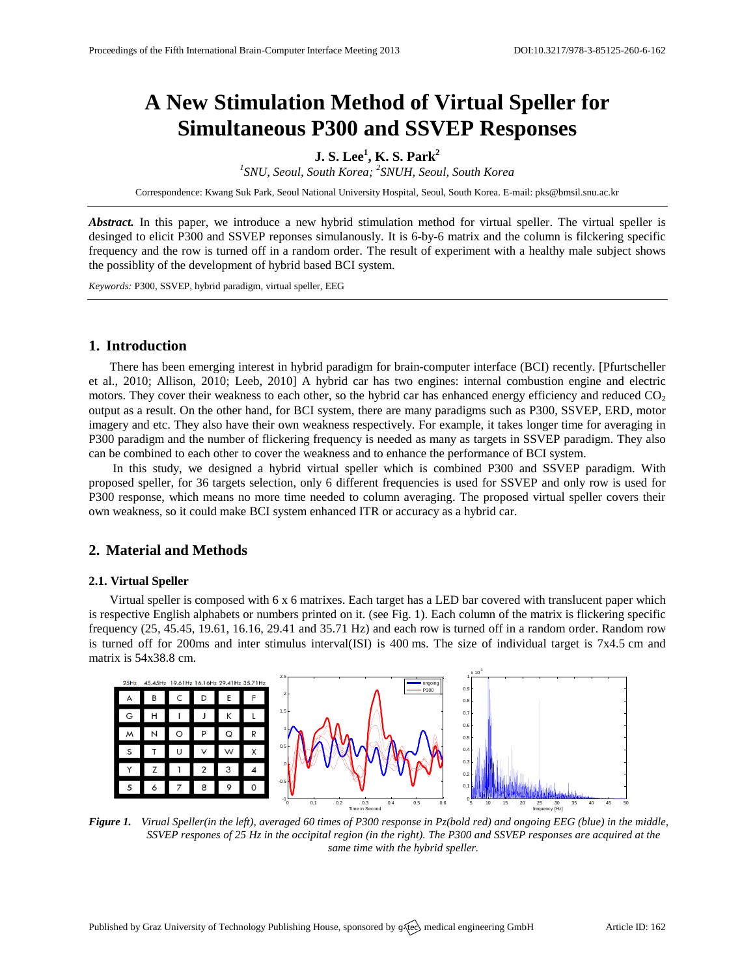# **A New Stimulation Method of Virtual Speller for Simultaneous P300 and SSVEP Responses**

# **J. S. Lee<sup>1</sup> , K. S. Park<sup>2</sup>**

<sup>1</sup> SNU, Seoul, South Korea; <sup>2</sup> SNUH, Seoul, South Korea

Correspondence: Kwang Suk Park, Seoul National University Hospital, Seoul, South Korea. E-mail: [pks@bmsil.snu.ac.kr](mailto:pks@bmsil.snu.ac.kr)

Abstract. In this paper, we introduce a new hybrid stimulation method for virtual speller. The virtual speller is desinged to elicit P300 and SSVEP reponses simulanously. It is 6-by-6 matrix and the column is filckering specific frequency and the row is turned off in a random order. The result of experiment with a healthy male subject shows the possiblity of the development of hybrid based BCI system.

*Keywords:* P300, SSVEP, hybrid paradigm, virtual speller, EEG

## **1. Introduction**

There has been emerging interest in hybrid paradigm for brain-computer interface (BCI) recently. [Pfurtscheller et al., 2010; Allison, 2010; Leeb, 2010] A hybrid car has two engines: internal combustion engine and electric motors. They cover their weakness to each other, so the hybrid car has enhanced energy efficiency and reduced  $CO<sub>2</sub>$ output as a result. On the other hand, for BCI system, there are many paradigms such as P300, SSVEP, ERD, motor imagery and etc. They also have their own weakness respectively. For example, it takes longer time for averaging in P300 paradigm and the number of flickering frequency is needed as many as targets in SSVEP paradigm. They also can be combined to each other to cover the weakness and to enhance the performance of BCI system.

In this study, we designed a hybrid virtual speller which is combined P300 and SSVEP paradigm. With proposed speller, for 36 targets selection, only 6 different frequencies is used for SSVEP and only row is used for P300 response, which means no more time needed to column averaging. The proposed virtual speller covers their own weakness, so it could make BCI system enhanced ITR or accuracy as a hybrid car.

# **2. Material and Methods**

#### **2.1. Virtual Speller**

Virtual speller is composed with 6 x 6 matrixes. Each target has a LED bar covered with translucent paper which is respective English alphabets or numbers printed on it. (see Fig. 1). Each column of the matrix is flickering specific frequency (25, 45.45, 19.61, 16.16, 29.41 and 35.71 Hz) and each row is turned off in a random order. Random row is turned off for 200ms and inter stimulus interval(ISI) is 400 ms. The size of individual target is 7x4.5 cm and matrix is 54x38.8 cm.



*Figure 1. Virual Speller(in the left), averaged 60 times of P300 response in Pz(bold red) and ongoing EEG (blue) in the middle, SSVEP respones of 25 Hz in the occipital region (in the right). The P300 and SSVEP responses are acquired at the same time with the hybrid speller.*